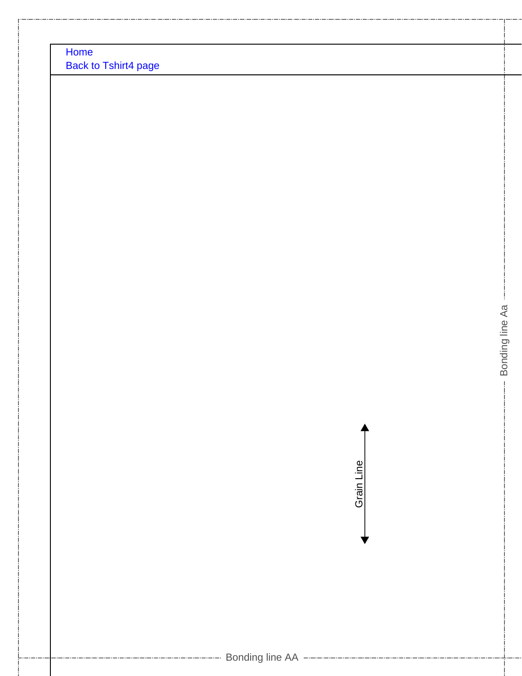[Home](http://www.dr-cos.info/) [Back to Tshirt4 page](http://www.dr-cos.info/fp-tshirt4.html)



Bonding line Aa

Bonding line Aa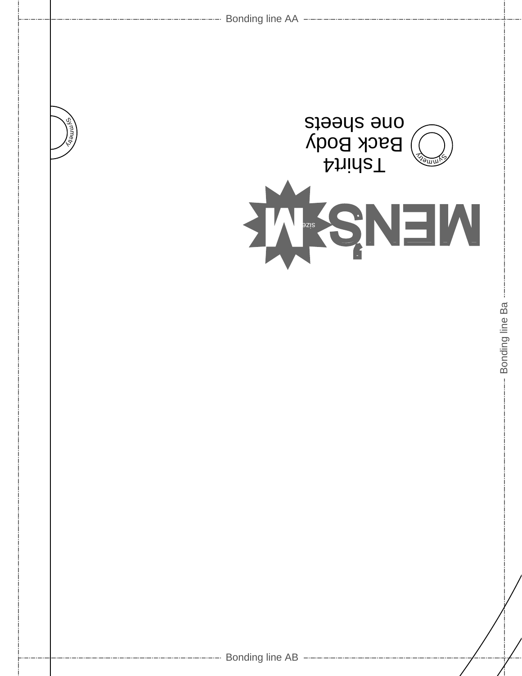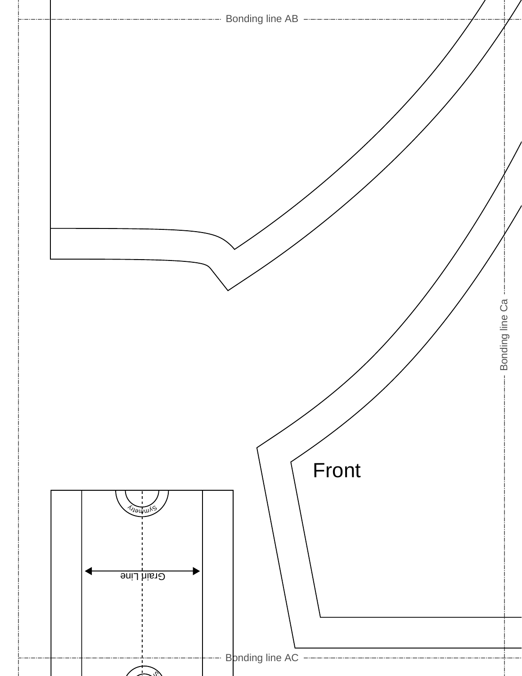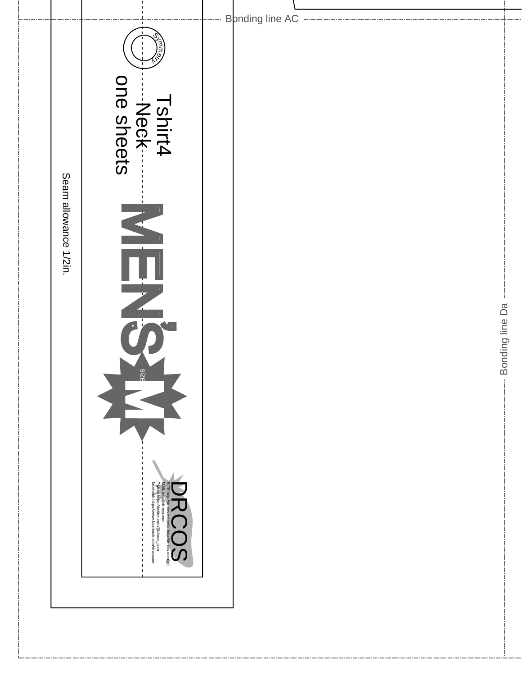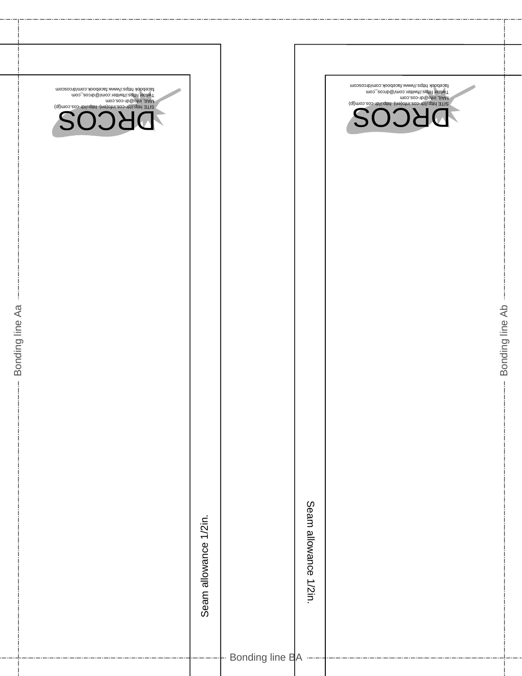| facebook https://www.facebook.com/drcoscom<br>Twitter https://twitter.com/@drcos_com<br>MAIL info@dri-cos.com<br>7 SITE http://dr-cos.int/i.qthd (ne)ofni.eos-tb/\:qthd<br><b>DRCOS</b> |                       |                 |                       | moozoonb\moo.xloodeost.www\\:zqttrl xloodeosi<br>Twitter https://twitter.com/@drcos_com<br>moo.aoo-1b <sup>@</sup> otni JIAM<br>SITE http://dr-cos.in/iqm/ http://dr-cos.com/jp/<br>DRCOS |
|-----------------------------------------------------------------------------------------------------------------------------------------------------------------------------------------|-----------------------|-----------------|-----------------------|-------------------------------------------------------------------------------------------------------------------------------------------------------------------------------------------|
|                                                                                                                                                                                         | Seam allowance 1/2in. |                 | Seam allowance 1/2in. |                                                                                                                                                                                           |
|                                                                                                                                                                                         |                       | Bonding line BA |                       |                                                                                                                                                                                           |

Bonding line Aa

- Bonding line Aa

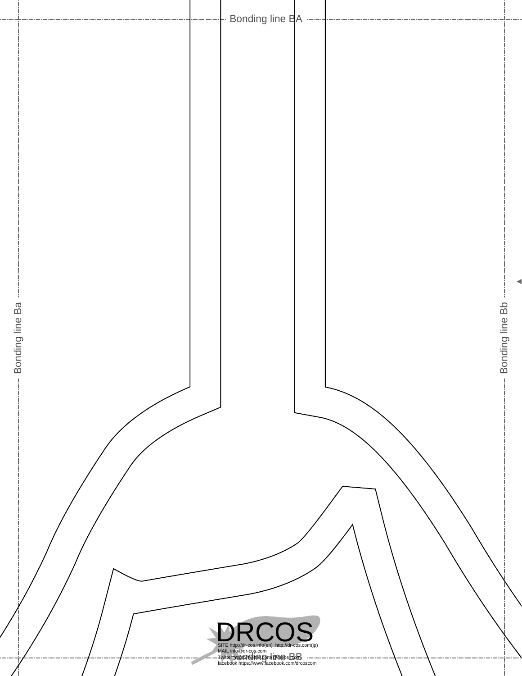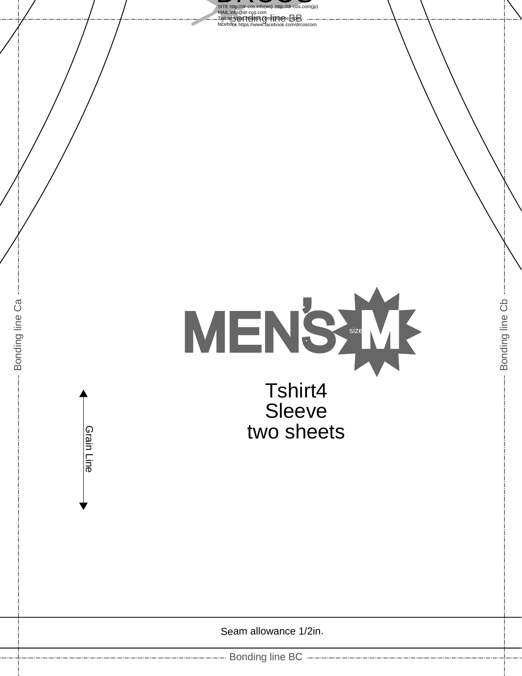

Seam allowance 1/2in.

---- Bonding line BC ---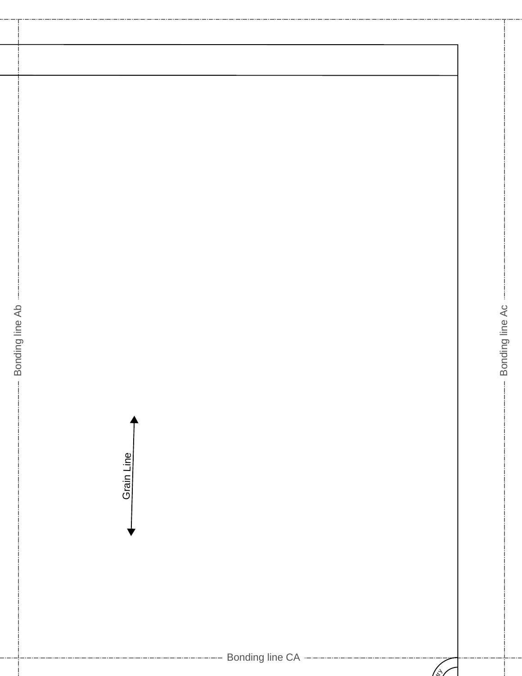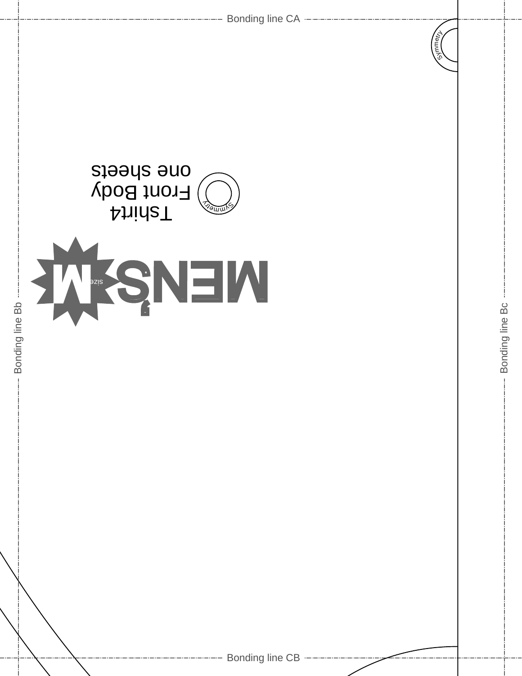